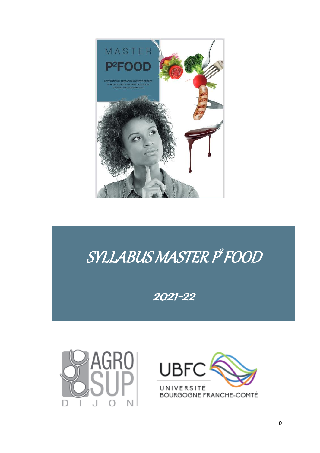

# SYLLABUS MASTER P<sup>9</sup> FOOD

2021-22



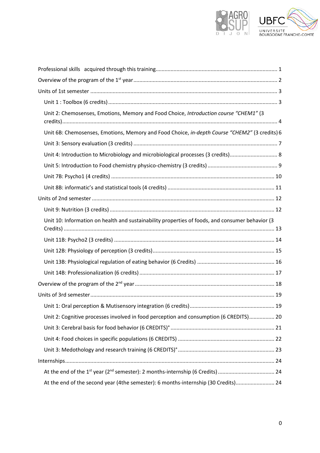

| Unit 2: Chemosenses, Emotions, Memory and Food Choice, Introduction course "CHEM1" (3           |  |
|-------------------------------------------------------------------------------------------------|--|
| Unit 6B: Chemosenses, Emotions, Memory and Food Choice, in-depth Course "CHEM2" (3 credits) 6   |  |
|                                                                                                 |  |
| Unit 4: Introduction to Microbiology and microbiological processes (3 credits) 8                |  |
|                                                                                                 |  |
|                                                                                                 |  |
|                                                                                                 |  |
|                                                                                                 |  |
|                                                                                                 |  |
| Unit 10: Information on health and sustainability properties of foods, and consumer behavior (3 |  |
|                                                                                                 |  |
|                                                                                                 |  |
|                                                                                                 |  |
|                                                                                                 |  |
|                                                                                                 |  |
|                                                                                                 |  |
|                                                                                                 |  |
| Unit 2: Cognitive processes involved in food perception and consumption (6 CREDITS) 20          |  |
|                                                                                                 |  |
|                                                                                                 |  |
|                                                                                                 |  |
|                                                                                                 |  |
|                                                                                                 |  |
| At the end of the second year (4the semester): 6 months-internship (30 Credits) 24              |  |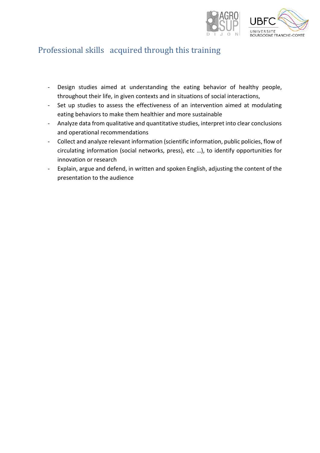

### <span id="page-2-0"></span>Professional skills acquired through this training

- Design studies aimed at understanding the eating behavior of healthy people, throughout their life, in given contexts and in situations of social interactions,
- Set up studies to assess the effectiveness of an intervention aimed at modulating eating behaviors to make them healthier and more sustainable
- Analyze data from qualitative and quantitative studies, interpret into clear conclusions and operational recommendations
- Collect and analyze relevant information (scientific information, public policies, flow of circulating information (social networks, press), etc …), to identify opportunities for innovation or research
- Explain, argue and defend, in written and spoken English, adjusting the content of the presentation to the audience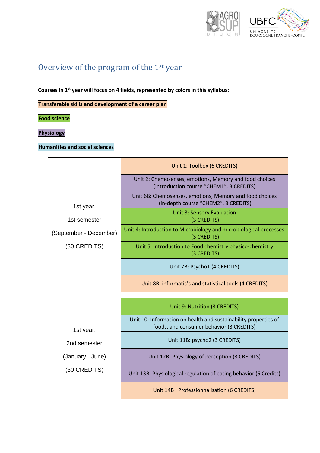

# <span id="page-3-0"></span>Overview of the program of the 1st year

**Courses In 1st year will focus on 4 fields, represented by colors in this syllabus:** 

**Transferable skills and development of a career plan** 

**Food science**

**Physiology** 

#### **Humanities and social sciences**

| Unit 1: Toolbox (6 CREDITS)                                                                        |  |
|----------------------------------------------------------------------------------------------------|--|
| Unit 2: Chemosenses, emotions, Memory and food choices<br>(introduction course "CHEM1", 3 CREDITS) |  |
| Unit 6B: Chemosenses, emotions, Memory and food choices<br>(in-depth course "CHEM2", 3 CREDITS)    |  |
| <b>Unit 3: Sensory Evaluation</b><br>(3 CREDITS)                                                   |  |
| Unit 4: Introduction to Microbiology and microbiological processes<br>(3 CREDITS)                  |  |
| Unit 5: Introduction to Food chemistry physico-chemistry<br>(3 CREDITS)                            |  |
| Unit 7B: Psycho1 (4 CREDITS)                                                                       |  |
| Unit 8B: informatic's and statistical tools (4 CREDITS)                                            |  |
|                                                                                                    |  |

|                                  | Unit 9: Nutrition (3 CREDITS)                                                                               |  |
|----------------------------------|-------------------------------------------------------------------------------------------------------------|--|
| 1st year,                        | Unit 10: Information on health and sustainability properties of<br>foods, and consumer behavior (3 CREDITS) |  |
| 2nd semester                     | Unit 11B: psycho2 (3 CREDITS)                                                                               |  |
| (January - June)<br>(30 CREDITS) | Unit 12B: Physiology of perception (3 CREDITS)                                                              |  |
|                                  | Unit 13B: Physiological regulation of eating behavior (6 Credits)                                           |  |
|                                  | Unit 14B : Professionnalisation (6 CREDITS)                                                                 |  |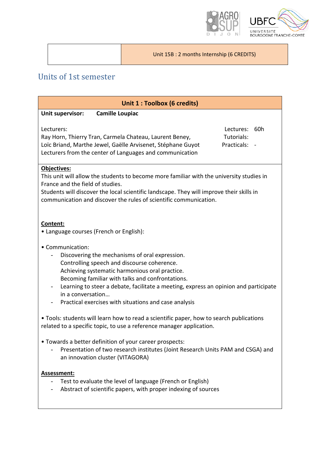

Unit 15B : 2 months Internship (6 CREDITS)

### <span id="page-4-0"></span>Units of 1st semester

<span id="page-4-1"></span>

| Unit 1 : Toolbox (6 credits)                                                                                                                                                                                                                                                                                                                                                                  |  |  |  |  |
|-----------------------------------------------------------------------------------------------------------------------------------------------------------------------------------------------------------------------------------------------------------------------------------------------------------------------------------------------------------------------------------------------|--|--|--|--|
| Unit supervisor:<br><b>Camille Loupiac</b>                                                                                                                                                                                                                                                                                                                                                    |  |  |  |  |
| Lectures: 60h<br>Lecturers:<br>Tutorials:<br>Ray Horn, Thierry Tran, Carmela Chateau, Laurent Beney,<br>Loïc Briand, Marthe Jewel, Gaëlle Arvisenet, Stéphane Guyot<br>Practicals:<br>Lecturers from the center of Languages and communication                                                                                                                                                |  |  |  |  |
| Objectives:<br>This unit will allow the students to become more familiar with the university studies in<br>France and the field of studies.<br>Students will discover the local scientific landscape. They will improve their skills in<br>communication and discover the rules of scientific communication.                                                                                  |  |  |  |  |
| Content:<br>• Language courses (French or English):                                                                                                                                                                                                                                                                                                                                           |  |  |  |  |
| • Communication:<br>Discovering the mechanisms of oral expression.<br>Controlling speech and discourse coherence.<br>Achieving systematic harmonious oral practice.<br>Becoming familiar with talks and confrontations.<br>Learning to steer a debate, facilitate a meeting, express an opinion and participate<br>in a conversation<br>Practical exercises with situations and case analysis |  |  |  |  |
| • Tools: students will learn how to read a scientific paper, how to search publications<br>related to a specific topic, to use a reference manager application.                                                                                                                                                                                                                               |  |  |  |  |
| • Towards a better definition of your career prospects:<br>Presentation of two research institutes (Joint Research Units PAM and CSGA) and<br>an innovation cluster (VITAGORA)                                                                                                                                                                                                                |  |  |  |  |
| Assessment:<br>Test to evaluate the level of language (French or English)<br>Abstract of scientific papers, with proper indexing of sources                                                                                                                                                                                                                                                   |  |  |  |  |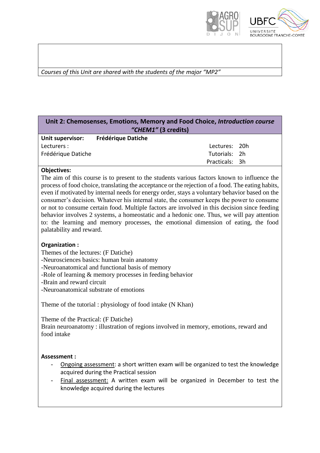



*Courses of this Unit are shared with the students of the major "MP2"*

#### <span id="page-5-0"></span>**Unit 2: Chemosenses, Emotions, Memory and Food Choice,** *Introduction course "CHEM1"* **(3 credits)**

| <b>Unit supervisor:</b> | <b>Frédérique Datiche</b> |  |
|-------------------------|---------------------------|--|
| Lecturers :             | Lectures: 20h             |  |
| Frédérique Datiche      | Tutorials: 2h             |  |
|                         | Practicals: 3h            |  |

#### **Objectives:**

The aim of this course is to present to the students various factors known to influence the process of food choice, translating the acceptance or the rejection of a food. The eating habits, even if motivated by internal needs for energy order, stays a voluntary behavior based on the consumer's decision. Whatever his internal state, the consumer keeps the power to consume or not to consume certain food. Multiple factors are involved in this decision since feeding behavior involves 2 systems, a homeostatic and a hedonic one. Thus, we will pay attention to: the learning and memory processes, the emotional dimension of eating, the food palatability and reward.

#### **Organization :**

Themes of the lectures: (F Datiche)

-Neurosciences basics: human brain anatomy

-Neuroanatomical and functional basis of memory

-Role of learning & memory processes in feeding behavior

-Brain and reward circuit

-Neuroanatomical substrate of emotions

Theme of the tutorial : physiology of food intake (N Khan)

Theme of the Practical: (F Datiche)

Brain neuroanatomy : illustration of regions involved in memory, emotions, reward and food intake

#### **Assessment :**

- Ongoing assessment: a short written exam will be organized to test the knowledge acquired during the Practical session
- Final assessment: A written exam will be organized in December to test the knowledge acquired during the lectures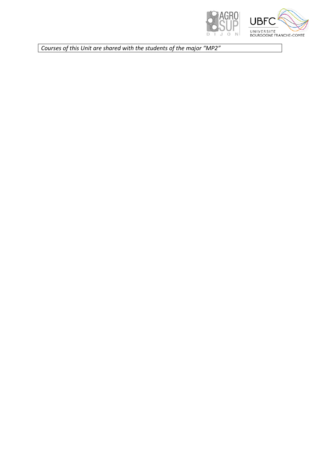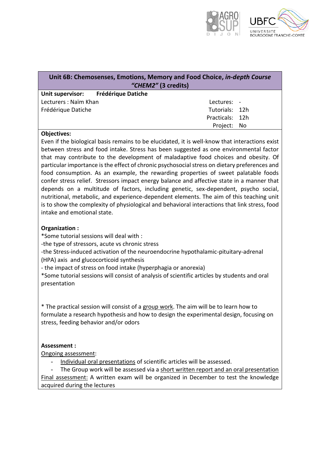

<span id="page-7-0"></span>

| Unit 6B: Chemosenses, Emotions, Memory and Food Choice, in-depth Course<br>"CHEM2" (3 credits) |                 |  |  |
|------------------------------------------------------------------------------------------------|-----------------|--|--|
| Unit supervisor: Frédérique Datiche                                                            |                 |  |  |
| Lecturers: Naïm Khan                                                                           | Lectures: -     |  |  |
| Frédérique Datiche                                                                             | Tutorials: 12h  |  |  |
|                                                                                                | Practicals: 12h |  |  |
|                                                                                                | Project: No     |  |  |

#### **Objectives:**

Even if the biological basis remains to be elucidated, it is well-know that interactions exist between stress and food intake. Stress has been suggested as one environmental factor that may contribute to the development of maladaptive food choices and obesity. Of particular importance is the effect of chronic psychosocial stress on dietary preferences and food consumption. As an example, the rewarding properties of sweet palatable foods confer stress relief. Stressors impact energy balance and affective state in a manner that depends on a multitude of factors, including genetic, sex-dependent, psycho social, nutritional, metabolic, and experience-dependent elements. The aim of this teaching unit is to show the complexity of physiological and behavioral interactions that link stress, food intake and emotional state.

#### **Organization :**

\*Some tutorial sessions will deal with :

-the type of stressors, acute vs chronic stress

-the Stress-induced activation of the neuroendocrine hypothalamic-pituitary-adrenal (HPA) axis and glucocorticoid synthesis

- the impact of stress on food intake (hyperphagia or anorexia)

\*Some tutorial sessions will consist of analysis of scientific articles by students and oral presentation

\* The practical session will consist of a group work. The aim will be to learn how to formulate a research hypothesis and how to design the experimental design, focusing on stress, feeding behavior and/or odors

#### **Assessment :**

Ongoing assessment:

- Individual oral presentations of scientific articles will be assessed.

The Group work will be assessed via a short written report and an oral presentation Final assessment: A written exam will be organized in December to test the knowledge acquired during the lectures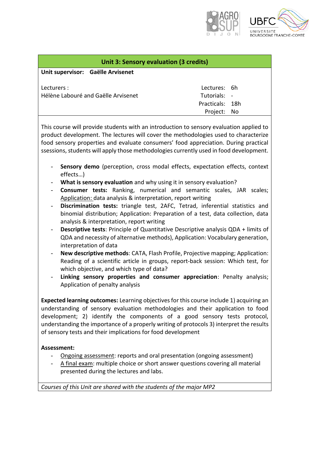

<span id="page-8-0"></span>

| <b>Unit 3: Sensory evaluation (3 credits)</b> |                 |  |  |
|-----------------------------------------------|-----------------|--|--|
| Unit supervisor: Gaëlle Arvisenet             |                 |  |  |
|                                               |                 |  |  |
| Lecturers :                                   | Lectures: 6h    |  |  |
| Hélène Labouré and Gaëlle Arvisenet           | Tutorials: -    |  |  |
|                                               | Practicals: 18h |  |  |
|                                               | Project: No     |  |  |
|                                               |                 |  |  |

This course will provide students with an introduction to sensory evaluation applied to product development. The lectures will cover the methodologies used to characterize food sensory properties and evaluate consumers' food appreciation. During practical ssessions, students will apply those methodologies currently used in food development.

- Sensory demo (perception, cross modal effects, expectation effects, context effects…)
- **What is sensory evaluation** and why using it in sensory evaluation?
- **Consumer tests:** Ranking, numerical and semantic scales, JAR scales; Application: data analysis & interpretation, report writing
- **Discrimination tests:** triangle test, 2AFC, Tetrad, inferential statistics and binomial distribution; Application: Preparation of a test, data collection, data analysis & interpretation, report writing
- **Descriptive tests**: Principle of Quantitative Descriptive analysis QDA + limits of QDA and necessity of alternative methods), Application: Vocabulary generation, interpretation of data
- **New descriptive methods**: CATA, Flash Profile, Projective mapping; Application: Reading of a scientific article in groups, report-back session: Which test, for which objective, and which type of data?
- **Linking sensory properties and consumer appreciation**: Penalty analysis; Application of penalty analysis

**Expected learning outcomes:** Learning objectives for this course include 1) acquiring an understanding of sensory evaluation methodologies and their application to food development; 2) identify the components of a good sensory tests protocol, understanding the importance of a properly writing of protocols 3) interpret the results of sensory tests and their implications for food development

#### **Assessment:**

- Ongoing assessment: reports and oral presentation (ongoing assessment)
- A final exam: multiple choice or short answer questions covering all material presented during the lectures and labs.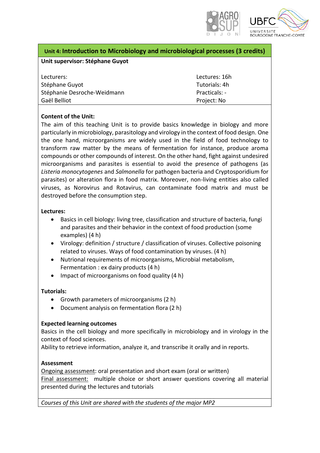

#### <span id="page-9-0"></span>**Unit 4: Introduction to Microbiology and microbiological processes (3 credits)**

#### **Unit supervisor: Stéphane Guyot**

| Lecturers:                  | Lectures: 16h |
|-----------------------------|---------------|
| Stéphane Guyot              | Tutorials: 4h |
| Stéphanie Desroche-Weidmann | Practicals: - |
| Gaël Belliot                | Project: No   |

#### **Content of the Unit:**

The aim of this teaching Unit is to provide basics knowledge in biology and more particularly in microbiology, parasitology and virology in the context of food design. One the one hand, microorganisms are widely used in the field of food technology to transform raw matter by the means of fermentation for instance, produce aroma compounds or other compounds of interest. On the other hand, fight against undesired microorganisms and parasites is essential to avoid the presence of pathogens (as *Listeria monocytogenes* and *Salmonella* for pathogen bacteria and Cryptosporidium for parasites) or alteration flora in food matrix. Moreover, non-living entities also called viruses, as Norovirus and Rotavirus, can contaminate food matrix and must be destroyed before the consumption step.

#### **Lectures:**

- Basics in cell biology: living tree, classification and structure of bacteria, fungi and parasites and their behavior in the context of food production (some examples) (4 h)
- Virology: definition / structure / classification of viruses. Collective poisoning related to viruses. Ways of food contamination by viruses. (4 h)
- Nutrional requirements of microorganisms, Microbial metabolism, Fermentation : ex dairy products (4 h)
- Impact of microorganisms on food quality (4 h)

#### **Tutorials:**

- Growth parameters of microorganisms (2 h)
- Document analysis on fermentation flora (2 h)

#### **Expected learning outcomes**

Basics in the cell biology and more specifically in microbiology and in virology in the context of food sciences.

Ability to retrieve information, analyze it, and transcribe it orally and in reports.

#### **Assessment**

Ongoing assessment: oral presentation and short exam (oral or written)

Final assessment: multiple choice or short answer questions covering all material presented during the lectures and tutorials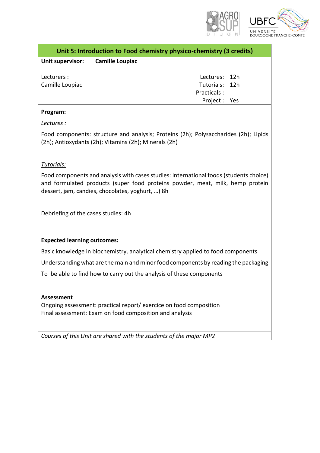

<span id="page-10-0"></span>

| Unit 5: Introduction to Food chemistry physico-chemistry (3 credits) |                                  |                |  |
|----------------------------------------------------------------------|----------------------------------|----------------|--|
|                                                                      | Unit supervisor: Camille Loupiac |                |  |
| Lecturers :                                                          |                                  | Lectures: 12h  |  |
| Camille Loupiac                                                      |                                  | Tutorials: 12h |  |
|                                                                      |                                  | Practicals : - |  |
|                                                                      |                                  | Project: Yes   |  |

#### **Program:**

#### *Lectures :*

Food components: structure and analysis; Proteins (2h); Polysaccharides (2h); Lipids (2h); Antioxydants (2h); Vitamins (2h); Minerals (2h)

#### *Tutorials:*

Food components and analysis with cases studies: International foods (students choice) and formulated products (super food proteins powder, meat, milk, hemp protein dessert, jam, candies, chocolates, yoghurt, …) 8h

Debriefing of the cases studies: 4h

#### **Expected learning outcomes:**

Basic knowledge in biochemistry, analytical chemistry applied to food components

Understanding what are the main and minor food components by reading the packaging

To be able to find how to carry out the analysis of these components

#### **Assessment**

Ongoing assessment: practical report/ exercice on food composition Final assessment: Exam on food composition and analysis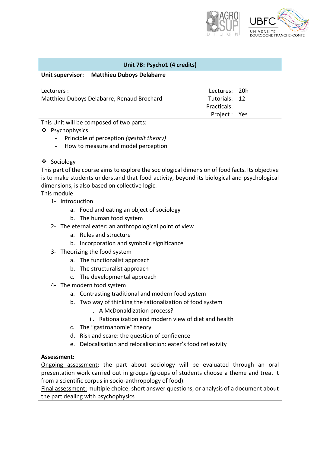

<span id="page-11-0"></span>

| Unit 7B: Psycho1 (4 credits)                                                                    |                  |  |  |
|-------------------------------------------------------------------------------------------------|------------------|--|--|
| <b>Matthieu Duboys Delabarre</b><br>Unit supervisor:                                            |                  |  |  |
|                                                                                                 |                  |  |  |
| Lecturers :                                                                                     | 20h<br>Lectures: |  |  |
| Matthieu Duboys Delabarre, Renaud Brochard                                                      | Tutorials:<br>12 |  |  |
|                                                                                                 | Practicals:      |  |  |
| This Unit will be composed of two parts:                                                        | Project :<br>Yes |  |  |
| ❖ Psychophysics                                                                                 |                  |  |  |
| Principle of perception (gestalt theory)                                                        |                  |  |  |
| How to measure and model perception                                                             |                  |  |  |
|                                                                                                 |                  |  |  |
| ❖ Sociology                                                                                     |                  |  |  |
| This part of the course aims to explore the sociological dimension of food facts. Its objective |                  |  |  |
| is to make students understand that food activity, beyond its biological and psychological      |                  |  |  |
| dimensions, is also based on collective logic.                                                  |                  |  |  |
| This module                                                                                     |                  |  |  |
| 1- Introduction                                                                                 |                  |  |  |
| a. Food and eating an object of sociology                                                       |                  |  |  |
| b. The human food system                                                                        |                  |  |  |
| 2- The eternal eater: an anthropological point of view                                          |                  |  |  |
| <b>Rules and structure</b><br>a.                                                                |                  |  |  |
| Incorporation and symbolic significance<br>b.                                                   |                  |  |  |
| 3- Theorizing the food system                                                                   |                  |  |  |
| The functionalist approach<br>a.                                                                |                  |  |  |
| The structuralist approach<br>b.                                                                |                  |  |  |
| The developmental approach<br>$C_{\star}$                                                       |                  |  |  |
| The modern food system<br>4-                                                                    |                  |  |  |
| a. Contrasting traditional and modern food system                                               |                  |  |  |
| b. Two way of thinking the rationalization of food system                                       |                  |  |  |
| i. A McDonaldization process?                                                                   |                  |  |  |
| Rationalization and modern view of diet and health<br>ii.                                       |                  |  |  |
| The "gastroanomie" theory<br>c.                                                                 |                  |  |  |
| Risk and scare: the question of confidence<br>d.                                                |                  |  |  |
| Delocalisation and relocalisation: eater's food reflexivity<br>e.                               |                  |  |  |
| Assessment:                                                                                     |                  |  |  |
| Ongoing assessment: the part about sociology will be evaluated through an oral                  |                  |  |  |
| presentation work carried out in groups (groups of students choose a theme and treat it         |                  |  |  |
| from a scientific corpus in socio-anthropology of food).                                        |                  |  |  |

Final assessment: multiple choice, short answer questions, or analysis of a document about the part dealing with psychophysics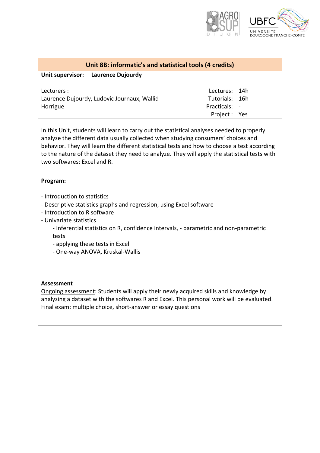

<span id="page-12-0"></span>

| Unit 8B: informatic's and statistical tools (4 credits) |                |  |
|---------------------------------------------------------|----------------|--|
| Unit supervisor: Laurence Dujourdy                      |                |  |
| Lecturers :                                             | Lectures: 14h  |  |
| Laurence Dujourdy, Ludovic Journaux, Wallid             | Tutorials: 16h |  |
| Horrigue                                                | Practicals: -  |  |
|                                                         | Project: Yes   |  |

In this Unit, students will learn to carry out the statistical analyses needed to properly analyze the different data usually collected when studying consumers' choices and behavior. They will learn the different statistical tests and how to choose a test according to the nature of the dataset they need to analyze. They will apply the statistical tests with two softwares: Excel and R.

#### **Program:**

- Introduction to statistics
- Descriptive statistics graphs and regression, using Excel software
- Introduction to R software
- Univariate statistics
	- Inferential statistics on R, confidence intervals, parametric and non-parametric tests
	- applying these tests in Excel
	- One-way ANOVA, Kruskal-Wallis

#### **Assessment**

Ongoing assessment: Students will apply their newly acquired skills and knowledge by analyzing a dataset with the softwares R and Excel. This personal work will be evaluated. Final exam: multiple choice, short-answer or essay questions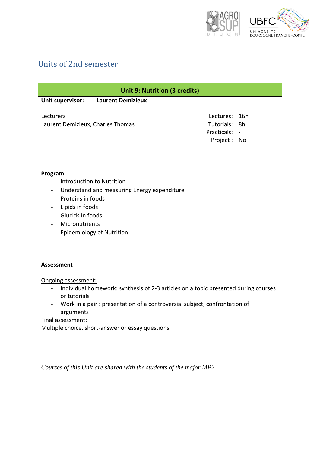

# <span id="page-13-0"></span>Units of 2nd semester

<span id="page-13-1"></span>

| <b>Unit 9: Nutrition (3 credits)</b>                                                                                                                                                                                                                                                         |                                                     |                 |  |
|----------------------------------------------------------------------------------------------------------------------------------------------------------------------------------------------------------------------------------------------------------------------------------------------|-----------------------------------------------------|-----------------|--|
| <b>Laurent Demizieux</b><br>Unit supervisor:                                                                                                                                                                                                                                                 |                                                     |                 |  |
| Lecturers:<br>Laurent Demizieux, Charles Thomas                                                                                                                                                                                                                                              | Lectures:<br>Tutorials:<br>Practicals:<br>Project : | 16h<br>8h<br>No |  |
| Program<br><b>Introduction to Nutrition</b><br>Understand and measuring Energy expenditure<br>$\overline{\phantom{0}}$<br>Proteins in foods<br>Lipids in foods<br>Glucids in foods<br>Micronutrients<br><b>Epidemiology of Nutrition</b>                                                     |                                                     |                 |  |
| <b>Assessment</b>                                                                                                                                                                                                                                                                            |                                                     |                 |  |
| Ongoing assessment:<br>Individual homework: synthesis of 2-3 articles on a topic presented during courses<br>or tutorials<br>Work in a pair: presentation of a controversial subject, confrontation of<br>arguments<br>Final assessment:<br>Multiple choice, short-answer or essay questions |                                                     |                 |  |
| Courses of this Unit are shared with the students of the major MP2                                                                                                                                                                                                                           |                                                     |                 |  |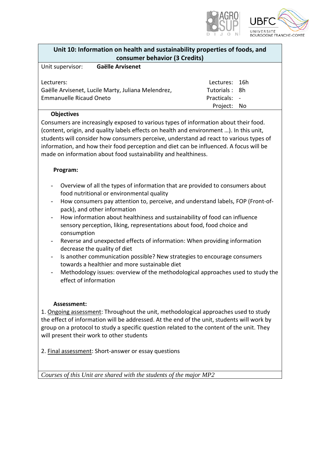

<span id="page-14-0"></span>

| Unit 10: Information on health and sustainability properties of foods, and |
|----------------------------------------------------------------------------|
| consumer behavior (3 Credits)                                              |

| Unit supervisor:               | Gaëlle Arvisenet                                   |               |  |
|--------------------------------|----------------------------------------------------|---------------|--|
|                                |                                                    |               |  |
| Lecturers:                     |                                                    | Lectures: 16h |  |
|                                | Gaëlle Arvisenet, Lucile Marty, Juliana Melendrez, | Tutorials: 8h |  |
| <b>Emmanuelle Ricaud Oneto</b> |                                                    | Practicals: - |  |
|                                |                                                    | Project: No   |  |

#### **Objectives**

Consumers are increasingly exposed to various types of information about their food. (content, origin, and quality labels effects on health and environment …). In this unit, students will consider how consumers perceive, understand ad react to various types of information, and how their food perception and diet can be influenced. A focus will be made on information about food sustainability and healthiness.

#### **Program:**

- Overview of all the types of information that are provided to consumers about food nutritional or environmental quality
- How consumers pay attention to, perceive, and understand labels, FOP (Front-ofpack), and other information
- How information about healthiness and sustainability of food can influence sensory perception, liking, representations about food, food choice and consumption
- Reverse and unexpected effects of information: When providing information decrease the quality of diet
- Is another communication possible? New strategies to encourage consumers towards a healthier and more sustainable diet
- Methodology issues: overview of the methodological approaches used to study the effect of information

#### **Assessment:**

1. Ongoing assessment: Throughout the unit, methodological approaches used to study the effect of information will be addressed. At the end of the unit, students will work by group on a protocol to study a specific question related to the content of the unit. They will present their work to other students

2. Final assessment: Short-answer or essay questions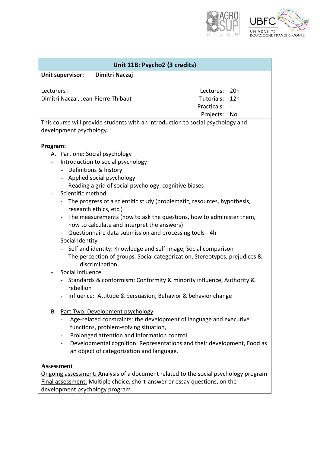

<span id="page-15-0"></span>

| Unit 11B: Psycho2 (3 credits)                                                                                                                                                                                                                                                                                                                                                                                                                                                                                                                                                                                                                                                                                                                                                                                                                                                                                                 |                                                                         |
|-------------------------------------------------------------------------------------------------------------------------------------------------------------------------------------------------------------------------------------------------------------------------------------------------------------------------------------------------------------------------------------------------------------------------------------------------------------------------------------------------------------------------------------------------------------------------------------------------------------------------------------------------------------------------------------------------------------------------------------------------------------------------------------------------------------------------------------------------------------------------------------------------------------------------------|-------------------------------------------------------------------------|
| Unit supervisor:<br>Dimitri Naczaj                                                                                                                                                                                                                                                                                                                                                                                                                                                                                                                                                                                                                                                                                                                                                                                                                                                                                            |                                                                         |
| Lecturers :<br>Dimitri Naczal, Jean-Pierre Thibaut                                                                                                                                                                                                                                                                                                                                                                                                                                                                                                                                                                                                                                                                                                                                                                                                                                                                            | Lectures: 20h<br>12h<br>Tutorials:<br>Practicals:                       |
|                                                                                                                                                                                                                                                                                                                                                                                                                                                                                                                                                                                                                                                                                                                                                                                                                                                                                                                               | Projects: No                                                            |
| This course will provide students with an introduction to social psychology and<br>development psychology.                                                                                                                                                                                                                                                                                                                                                                                                                                                                                                                                                                                                                                                                                                                                                                                                                    |                                                                         |
| Program:                                                                                                                                                                                                                                                                                                                                                                                                                                                                                                                                                                                                                                                                                                                                                                                                                                                                                                                      |                                                                         |
| A. Part one: Social psychology<br>Introduction to social psychology<br>$\overline{\phantom{0}}$<br>- Definitions & history<br>- Applied social psychology<br>- Reading a grid of social psychology; cognitive biases<br>Scientific method<br>$\overline{\phantom{a}}$<br>The progress of a scientific study (problematic, resources, hypothesis,<br>research ethics, etc.)<br>The measurements (how to ask the questions, how to administer them,<br>how to calculate and interpret the answers)<br>- Questionnaire data submission and processing tools - 4h<br>Social Identity<br>Self and identity: Knowledge and self-image, Social comparison<br>- The perception of groups: Social categorization, Stereotypes, prejudices &<br>discrimination<br>Social influence<br>Standards & conformism: Conformity & minority influence, Authority &<br>rebellion<br>Influence: Attitude & persuasion, Behavior & behavior change |                                                                         |
| <b>Part Two: Development psychology</b><br>В.<br>Age-related constraints: the development of language and executive<br>functions, problem-solving situation,<br>Prolonged attention and information control<br>$\qquad \qquad -$<br>an object of categorization and language.                                                                                                                                                                                                                                                                                                                                                                                                                                                                                                                                                                                                                                                 | Developmental cognition: Representations and their development, Food as |
| <b>Assessment</b><br>Ongoing assessment: Analysis of a document related to the social psychology program<br>Final assessment: Multiple choice, short-answer or essay questions, on the<br>development psychology program                                                                                                                                                                                                                                                                                                                                                                                                                                                                                                                                                                                                                                                                                                      |                                                                         |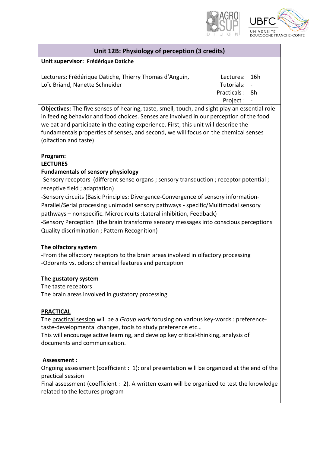

16h - 8h -

#### **Unit 12B: Physiology of perception (3 credits)**

#### <span id="page-16-0"></span>**Unit supervisor: Frédérique Datiche**

| Lecturers: Frédérique Datiche, Thierry Thomas d'Anguin, | Lectures:   |
|---------------------------------------------------------|-------------|
| Loïc Briand, Nanette Schneider                          | Tutorials:  |
|                                                         | Practicals: |
|                                                         | Project:    |

**Objectives:** The five senses of hearing, taste, smell, touch, and sight play an essential role in feeding behavior and food choices. Senses are involved in our perception of the food we eat and participate in the eating experience. First, this unit will describe the fundamentals properties of senses, and second, we will focus on the chemical senses (olfaction and taste)

#### **Program:**

#### **LECTURES**

#### **Fundamentals of sensory physiology**

-Sensory receptors (different sense organs ; sensory transduction ; receptor potential ; receptive field ; adaptation)

-Sensory circuits (Basic Principles: Divergence-Convergence of sensory information-Parallel/Serial processing unimodal sensory pathways - specific/Multimodal sensory pathways – nonspecific. Microcircuits :Lateral inhibition, Feedback)

-Sensory Perception (the brain transforms sensory messages into conscious perceptions Quality discrimination ; Pattern Recognition)

#### **The olfactory system**

-From the olfactory receptors to the brain areas involved in olfactory processing -Odorants vs. odors: chemical features and perception

#### **The gustatory system**

The taste receptors [The brain areas involved in gustatory processing](http://www.appstate.edu/~steelekm/classes/psy3203/Psychophysics/Intropsychophysics.html)

#### **PRACTICAL**

The practical session will be a *Group work* focusing on various key-words : preferencetaste-developmental changes, tools to study preference etc…

This will encourage active learning, and develop key critical-thinking, analysis of documents and communication.

#### **Assessment :**

Ongoing assessment (coefficient : 1): oral presentation will be organized at the end of the practical session

Final assessment (coefficient : 2). A written exam will be organized to test the knowledge related to the lectures program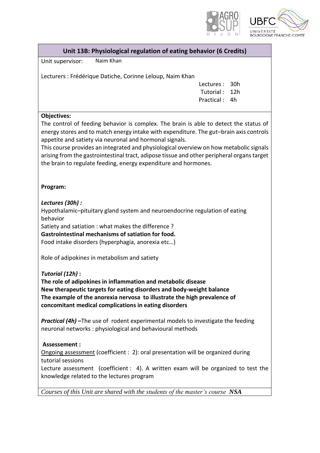

| Unit 13B: Physiological regulation of eating behavior (6 Credits) |  |
|-------------------------------------------------------------------|--|
|                                                                   |  |

<span id="page-17-0"></span>Unit supervisor: Naim Khan

Lecturers : Frédérique Datiche, Corinne Leloup, Naim Khan

Lectures : 30h Tutorial : 12h Practical : 4h

#### **Objectives:**

The control of feeding behavior is complex. The brain is able to detect the status of energy stores and to match energy intake with expenditure. The gut–brain axis controls appetite and satiety via neuronal and hormonal signals.

This course provides an integrated and physiological overview on how metabolic signals arising from the gastrointestinal tract, adipose tissue and other peripheral organs target the brain to regulate feeding, energy expenditure and hormones.

#### **Program:**

*Lectures (30h) :*

[Hypothalamic](https://en.wikipedia.org/wiki/Hypothalamic%E2%80%93pituitary%E2%80%93adrenal_axis)–pituitary gland system and neuroendocrine regulation of eating behavior

Satiety and satiation : what makes the difference ?

**[Gastrointestinal mechanisms of satiation for food.](https://www.ncbi.nlm.nih.gov/pubmed/15159171)** 

Food intake disorders (hyperphagia, anorexia etc…)

Role of adipokine*s* in metabolism and satiety

*Tutorial (12h)* **:**

**[The role of adipokines in inflammation and metabolic disease](https://www.ncbi.nlm.nih.gov/pmc/articles/PMC3518031/) New therapeutic targets for eating disorders and body-weight balance The example of the anorexia nervosa to illustrate the high prevalence of concomitant medical complications in eating disorders**

*Practical (4h) –*The use of rodent experimental models to investigate the feeding neuronal networks : physiological and behavioural methods

#### **Assessement :**

Ongoing assessment (coefficient : 2): oral presentation will be organized during tutorial sessions

Lecture assessment (coefficient : 4). A written exam will be organized to test the knowledge related to the lectures program

*Courses of this Unit are shared with the students of the master's course NSA*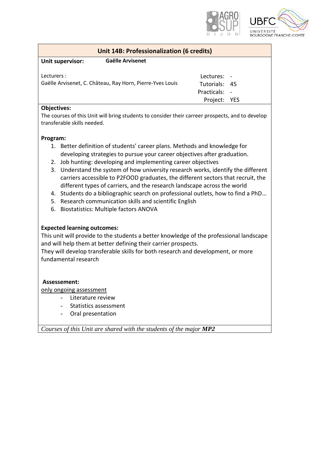



<span id="page-18-0"></span>

| <b>Unit 14B: Professionalization (6 credits)</b> |                                                           |                                                               |  |
|--------------------------------------------------|-----------------------------------------------------------|---------------------------------------------------------------|--|
| Unit supervisor:                                 | <b>Gaëlle Arvisenet</b>                                   |                                                               |  |
| Lecturers:                                       | Gaëlle Arvisenet, C. Château, Ray Horn, Pierre-Yves Louis | Lectures: -<br>Tutorials: 45<br>Practicals: -<br>Project: YES |  |
|                                                  |                                                           |                                                               |  |

#### **Objectives:**

The courses of this Unit will bring students to consider their carreer prospects, and to develop transferable skills needed.

#### **Program:**

- 1. Better definition of students' career plans. Methods and knowledge for developing strategies to pursue your career objectives after graduation.
- 2. Job hunting: developing and implementing career objectives
- 3. Understand the system of how university research works, identify the different carriers accessible to P2FOOD graduates, the different sectors that recruit, the different types of carriers, and the research landscape across the world
- 4. Students do a bibliographic search on professional outlets, how to find a PhD…
- 5. Research communication skills and scientific English
- 6. Biostatistics: Multiple factors ANOVA

#### **Expected learning outcomes:**

This unit will provide to the students a better knowledge of the professional landscape and will help them at better defining their carrier prospects.

They will develop transferable skills for both research and development, or more fundamental research

#### **Assessement:**

only ongoing assessment

- Literature review
	- Statistics assessment
- Oral presentation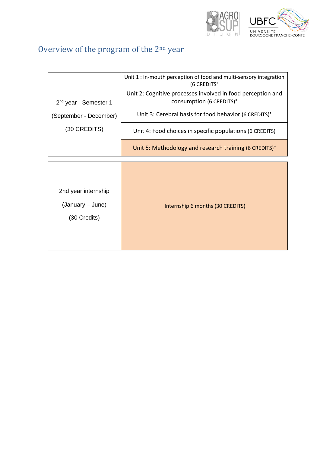

# <span id="page-19-0"></span>Overview of the program of the 2nd year

| Unit 1 : In-mouth perception of food and multi-sensory integration<br>(6 CREDITS°       |
|-----------------------------------------------------------------------------------------|
| Unit 2: Cognitive processes involved in food perception and<br>consumption (6 CREDITS)° |
| Unit 3: Cerebral basis for food behavior (6 CREDITS)°                                   |
| Unit 4: Food choices in specific populations (6 CREDITS)                                |
| Unit 5: Methodology and research training (6 CREDITS)°                                  |
| Internship 6 months (30 CREDITS)                                                        |
|                                                                                         |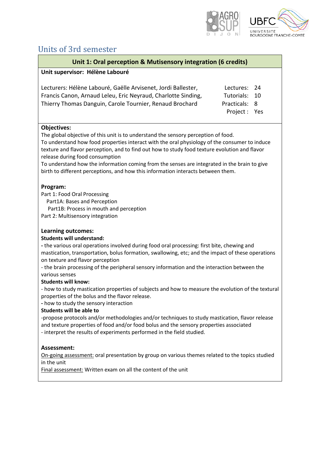

# <span id="page-20-0"></span>Units of 3rd semester

<span id="page-20-1"></span>

| Unit 1: Oral perception & Mutisensory integration (6 credits)                                                                                                                                                                                                                                                                                                                                                                                                                                                                                                                                                                                                                                                                                                                                                                                                                                                                                                                    |                                                                             |
|----------------------------------------------------------------------------------------------------------------------------------------------------------------------------------------------------------------------------------------------------------------------------------------------------------------------------------------------------------------------------------------------------------------------------------------------------------------------------------------------------------------------------------------------------------------------------------------------------------------------------------------------------------------------------------------------------------------------------------------------------------------------------------------------------------------------------------------------------------------------------------------------------------------------------------------------------------------------------------|-----------------------------------------------------------------------------|
| Unit supervisor: Hélène Labouré                                                                                                                                                                                                                                                                                                                                                                                                                                                                                                                                                                                                                                                                                                                                                                                                                                                                                                                                                  |                                                                             |
| Lecturers: Hélène Labouré, Gaëlle Arvisenet, Jordi Ballester,<br>Francis Canon, Arnaud Leleu, Eric Neyraud, Charlotte Sinding,<br>Thierry Thomas Danguin, Carole Tournier, Renaud Brochard                                                                                                                                                                                                                                                                                                                                                                                                                                                                                                                                                                                                                                                                                                                                                                                       | Lectures:<br>24<br>Tutorials:<br>10<br>Practicals:<br>8<br>Project :<br>Yes |
| <b>Objectives:</b><br>The global objective of this unit is to understand the sensory perception of food.<br>To understand how food properties interact with the oral physiology of the consumer to induce<br>texture and flavor perception, and to find out how to study food texture evolution and flavor<br>release during food consumption<br>To understand how the information coming from the senses are integrated in the brain to give<br>birth to different perceptions, and how this information interacts between them.                                                                                                                                                                                                                                                                                                                                                                                                                                                |                                                                             |
| Program:<br>Part 1: Food Oral Processing<br>Part1A: Bases and Perception<br>Part1B: Process in mouth and perception<br>Part 2: Multisensory integration                                                                                                                                                                                                                                                                                                                                                                                                                                                                                                                                                                                                                                                                                                                                                                                                                          |                                                                             |
| <b>Learning outcomes:</b><br><b>Students will understand:</b><br>- the various oral operations involved during food oral processing: first bite, chewing and<br>mastication, transportation, bolus formation, swallowing, etc; and the impact of these operations<br>on texture and flavor perception<br>- the brain processing of the peripheral sensory information and the interaction between the<br>various senses<br><b>Students will know:</b><br>- how to study mastication properties of subjects and how to measure the evolution of the textural<br>properties of the bolus and the flavor release.<br>- how to study the sensory interaction<br><b>Students will be able to</b><br>-propose protocols and/or methodologies and/or techniques to study mastication, flavor release<br>and texture properties of food and/or food bolus and the sensory properties associated<br>- interpret the results of experiments performed in the field studied.<br>Assessment: |                                                                             |
| On-going assessment: oral presentation by group on various themes related to the topics studied<br>in the unit<br>Final assessment: Written exam on all the content of the unit                                                                                                                                                                                                                                                                                                                                                                                                                                                                                                                                                                                                                                                                                                                                                                                                  |                                                                             |
|                                                                                                                                                                                                                                                                                                                                                                                                                                                                                                                                                                                                                                                                                                                                                                                                                                                                                                                                                                                  |                                                                             |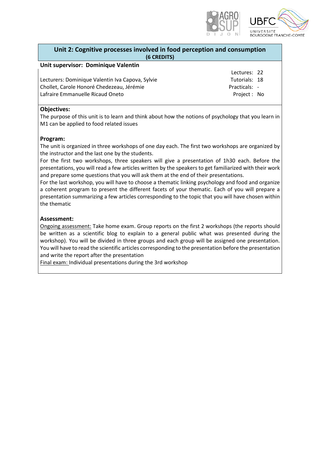

#### <span id="page-21-0"></span>**Unit 2: Cognitive processes involved in food perception and consumption (6 CREDITS)**

#### **Unit supervisor: Dominique Valentin**

Lecturers: Dominique Valentin Iva Capova, Sylvie Chollet, Carole Honoré Chedezeau, Jérémie Lafraire Emmanuelle Ricaud Oneto

Lectures: 22 Tutorials: 18 Practicals: -

Project : No

#### **Objectives:**

The purpose of this unit is to learn and think about how the notions of psychology that you learn in M1 can be applied to food related issues

#### **Program:**

The unit is organized in three workshops of one day each. The first two workshops are organized by the instructor and the last one by the students.

For the first two workshops, three speakers will give a presentation of 1h30 each. Before the presentations, you will read a few articles written by the speakers to get familiarized with their work and prepare some questions that you will ask them at the end of their presentations.

For the last workshop, you will have to choose a thematic linking psychology and food and organize a coherent program to present the different facets of your thematic. Each of you will prepare a presentation summarizing a few articles corresponding to the topic that you will have chosen within the thematic

#### **Assessment:**

Ongoing assessment: Take home exam. Group reports on the first 2 workshops (the reports should be written as a scientific blog to explain to a general public what was presented during the workshop). You will be divided in three groups and each group will be assigned one presentation. You will have to read the scientific articles corresponding to the presentation before the presentation and write the report after the presentation

Final exam: Individual presentations during the 3rd workshop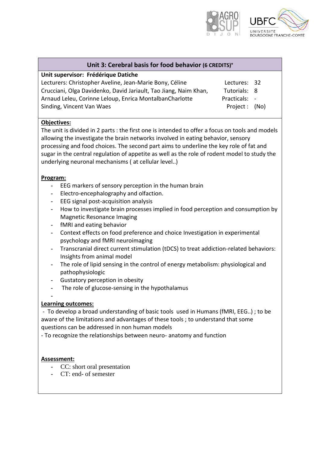

<span id="page-22-0"></span>

| Unit 3: Cerebral basis for food behavior (6 CREDITS)° |                                                                |
|-------------------------------------------------------|----------------------------------------------------------------|
|                                                       |                                                                |
|                                                       |                                                                |
|                                                       |                                                                |
|                                                       |                                                                |
|                                                       |                                                                |
|                                                       |                                                                |
|                                                       | Lectures: 32<br>Tutorials: 8<br>Practicals: -<br>Project: (No) |

#### **Objectives:**

The unit is divided in 2 parts : the first one is intended to offer a focus on tools and models allowing the investigate the brain networks involved in eating behavior, sensory processing and food choices. The second part aims to underline the key role of fat and sugar in the central regulation of appetite as well as the role of rodent model to study the underlying neuronal mechanisms ( at cellular level..)

#### **Program:**

- EEG markers of sensory perception in the human brain
- Electro-encephalography and olfaction.
- EEG signal post-acquisition analysis
- How to investigate brain processes implied in food perception and consumption by Magnetic Resonance Imaging
- fMRI and eating behavior
- Context effects on food preference and choice Investigation in experimental psychology and fMRI neuroimaging
- Transcranial direct current stimulation (tDCS) to treat addiction-related behaviors: Insights from animal model
- The role of lipid sensing in the control of energy metabolism: physiological and pathophysiologic
- Gustatory perception in obesity
- The role of glucose-sensing in the hypothalamus
- -

#### **Learning outcomes:**

- To develop a broad understanding of basic tools used in Humans (fMRI, EEG..) ; to be aware of the limitations and advantages of these tools ; to understand that some questions can be addressed in non human models

- To recognize the relationships between neuro- anatomy and function

#### **Assessment:**

- CC: short oral presentation
- CT: end- of semester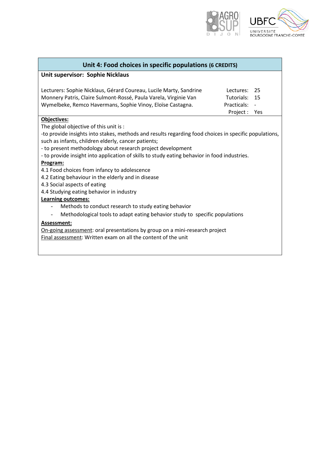

<span id="page-23-0"></span>

| Unit 4: Food choices in specific populations (6 CREDITS)                                              |             |            |
|-------------------------------------------------------------------------------------------------------|-------------|------------|
| Unit supervisor: Sophie Nicklaus                                                                      |             |            |
|                                                                                                       |             |            |
| Lecturers: Sophie Nicklaus, Gérard Coureau, Lucile Marty, Sandrine                                    | Lectures:   | 25         |
| Monnery Patris, Claire Sulmont-Rossé, Paula Varela, Virginie Van                                      | Tutorials:  | 15         |
| Wymelbeke, Remco Havermans, Sophie Vinoy, Eloïse Castagna.                                            | Practicals: |            |
|                                                                                                       | Project :   | <b>Yes</b> |
| <b>Objectives:</b>                                                                                    |             |            |
| The global objective of this unit is:                                                                 |             |            |
| -to provide insights into stakes, methods and results regarding food choices in specific populations, |             |            |
| such as infants, children elderly, cancer patients;                                                   |             |            |
| - to present methodology about research project development                                           |             |            |
| - to provide insight into application of skills to study eating behavior in food industries.          |             |            |
| Program:                                                                                              |             |            |
| 4.1 Food choices from infancy to adolescence                                                          |             |            |
| 4.2 Eating behaviour in the elderly and in disease                                                    |             |            |
| 4.3 Social aspects of eating                                                                          |             |            |
| 4.4 Studying eating behavior in industry                                                              |             |            |
| Learning outcomes:                                                                                    |             |            |
| Methods to conduct research to study eating behavior<br>$\overline{\phantom{a}}$                      |             |            |
| Methodological tools to adapt eating behavior study to specific populations                           |             |            |
| Assessment:                                                                                           |             |            |
| On-going assessment: oral presentations by group on a mini-research project                           |             |            |
| Final assessment: Written exam on all the content of the unit                                         |             |            |
|                                                                                                       |             |            |
|                                                                                                       |             |            |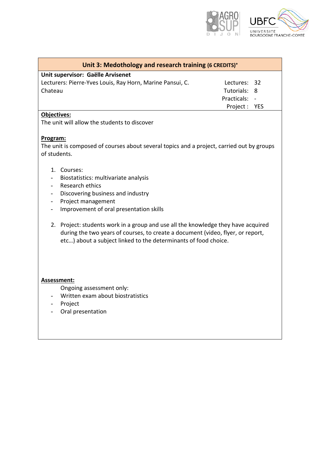

<span id="page-24-0"></span>

**Unit supervisor: Gaëlle Arvisenet**

| Lecturers: Pierre-Yves Louis, Ray Horn, Marine Pansui, C. |
|-----------------------------------------------------------|
| Chateau                                                   |
|                                                           |

Lectures: 32 Tutorials: 8

Practicals: - Project : YES

**Objectives:**

The unit will allow the students to discover

#### **Program:**

The unit is composed of courses about several topics and a project, carried out by groups of students.

- 1. Courses:
- Biostatistics: multivariate analysis
- Research ethics
- Discovering business and industry
- Project management
- Improvement of oral presentation skills
- 2. Project: students work in a group and use all the knowledge they have acquired during the two years of courses, to create a document (video, flyer, or report, etc…) about a subject linked to the determinants of food choice.

#### **Assessment:**

- Ongoing assessment only:
- Written exam about biostratistics
- Project
- Oral presentation